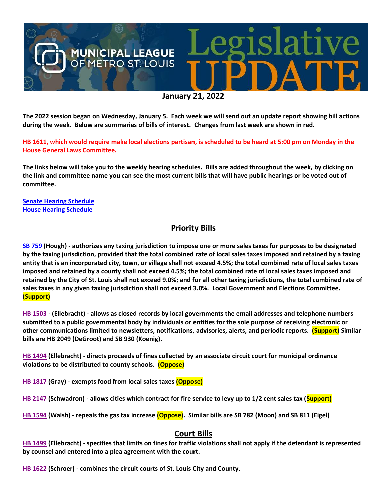

**The 2022 session began on Wednesday, January 5. Each week we will send out an update report showing bill actions during the week. Below are summaries of bills of interest. Changes from last week are shown in red.**

**HB 1611, which would require make local elections partisan, is scheduled to be heard at 5:00 pm on Monday in the House General Laws Committee.**

**The links below will take you to the weekly hearing schedules. Bills are added throughout the week, by clicking on the link and committee name you can see the most current bills that will have public hearings or be voted out of committee.**

**[Senate Hearing Schedule](https://www.senate.mo.gov/hearingsschedule/hrings.htm) [House Hearing Schedule](https://www.house.mo.gov/AllHearings.aspx?sdid=01182022)** 

## **Priority Bills**

**[SB 759](https://www.senate.mo.gov/22info/BTS_Web/Bill.aspx?SessionType=R&BillID=71259645) (Hough) - authorizes any taxing jurisdiction to impose one or more sales taxes for purposes to be designated by the taxing jurisdiction, provided that the total combined rate of local sales taxes imposed and retained by a taxing entity that is an incorporated city, town, or village shall not exceed 4.5%; the total combined rate of local sales taxes imposed and retained by a county shall not exceed 4.5%; the total combined rate of local sales taxes imposed and retained by the City of St. Louis shall not exceed 9.0%; and for all other taxing jurisdictions, the total combined rate of sales taxes in any given taxing jurisdiction shall not exceed 3.0%. Local Government and Elections Committee. (Support)**

**[HB 1503](https://house.mo.gov/Bill.aspx?bill=HB1503&year=2022&code=R) - (Ellebracht) - allows as closed records by local governments the email addresses and telephone numbers submitted to a public governmental body by individuals or entities for the sole purpose of receiving electronic or other communications limited to newsletters, notifications, advisories, alerts, and periodic reports. (Support) Similar bills are HB 2049 (DeGroot) and SB 930 (Koenig).**

**[HB 1494](https://house.mo.gov/Bill.aspx?bill=HB1494&year=2022&code=R) (Ellebracht) - directs proceeds of fines collected by an associate circuit court for municipal ordinance violations to be distributed to county schools. (Oppose)**

**[HB 1817](https://house.mo.gov/Bill.aspx?bill=HB1817&year=2022&code=R) (Gray) - exempts food from local sales taxes (Oppose)**

**[HB 2147](https://house.mo.gov/Bill.aspx?bill=HB2147&year=2022&code=R) (Schwadron) - allows cities which contract for fire service to levy up to 1/2 cent sales tax (Support)**

**[HB 1594](https://house.mo.gov/Bill.aspx?bill=HB1594&year=2022&code=R) (Walsh) - repeals the gas tax increase (Oppose). Similar bills are SB 782 (Moon) and SB 811 (Eigel)**

#### **Court Bills**

**[HB 1499](https://house.mo.gov/Bill.aspx?bill=HB1499&year=2022&code=R) (Ellebracht) - specifies that limits on fines for traffic violations shall not apply if the defendant is represented by counsel and entered into a plea agreement with the court.**

**[HB 1622](https://house.mo.gov/Bill.aspx?bill=HB1622&year=2022&code=R) (Schroer) - combines the circuit courts of St. Louis City and County.**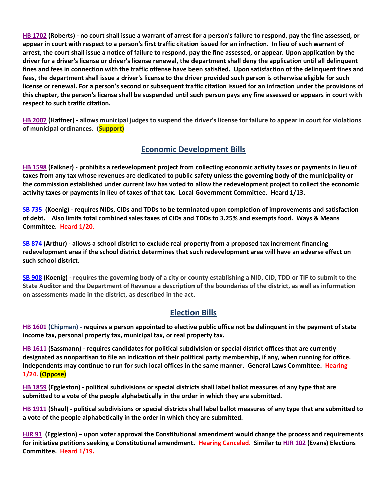**[HB 1702](https://house.mo.gov/Bill.aspx?bill=HB1702&year=2022&code=R) (Roberts) - no court shall issue a warrant of arrest for a person's failure to respond, pay the fine assessed, or appear in court with respect to a person's first traffic citation issued for an infraction. In lieu of such warrant of arrest, the court shall issue a notice of failure to respond, pay the fine assessed, or appear. Upon application by the driver for a driver's license or driver's license renewal, the department shall deny the application until all delinquent fines and fees in connection with the traffic offense have been satisfied. Upon satisfaction of the delinquent fines and fees, the department shall issue a driver's license to the driver provided such person is otherwise eligible for such license or renewal. For a person's second or subsequent traffic citation issued for an infraction under the provisions of this chapter, the person's license shall be suspended until such person pays any fine assessed or appears in court with respect to such traffic citation.**

**[HB 2007](https://house.mo.gov/Bill.aspx?bill=HB2007&year=2022&code=R) (Haffner) - allows municipal judges to suspend the driver's license for failure to appear in court for violations of municipal ordinances. (Support)**

## **Economic Development Bills**

**[HB 1598](https://house.mo.gov/Bill.aspx?bill=HB1598&year=2022&code=R) (Falkner) - prohibits a redevelopment project from collecting economic activity taxes or payments in lieu of taxes from any tax whose revenues are dedicated to public safety unless the governing body of the municipality or the commission established under current law has voted to allow the redevelopment project to collect the economic activity taxes or payments in lieu of taxes of that tax. Local Government Committee. Heard 1/13.**

**[SB 735](https://www.senate.mo.gov/22info/BTS_Web/Bill.aspx?SessionType=R&BillID=71259902%20%20) (Koenig) - requires NIDs, CIDs and TDDs to be terminated upon completion of improvements and satisfaction of debt. Also limits total combined sales taxes of CIDs and TDDs to 3.25% and exempts food. Ways & Means Committee. Heard 1/20.**

**[SB 874](https://www.senate.mo.gov/22info/BTS_Web/Bill.aspx?SessionType=R&BillID=71259609) (Arthur) - allows a school district to exclude real property from a proposed tax increment financing redevelopment area if the school district determines that such redevelopment area will have an adverse effect on such school district.**

**[SB 908](https://www.senate.mo.gov/22info/BTS_Web/Bill.aspx?SessionType=R&BillID=71259913) (Koenig) - requires the governing body of a city or county establishing a NID, CID, TDD or TIF to submit to the State Auditor and the Department of Revenue a description of the boundaries of the district, as well as information on assessments made in the district, as described in the act.**

# **Election Bills**

**[HB 1601](https://house.mo.gov/Bill.aspx?bill=HB1601&year=2022&code=R) (Chipman) - requires a person appointed to elective public office not be delinquent in the payment of state income tax, personal property tax, municipal tax, or real property tax.**

**HB [1611](https://house.mo.gov/Bill.aspx?bill=HB1611&year=2022&code=R) (Sassmann) - requires candidates for political subdivision or special district offices that are currently designated as nonpartisan to file an indication of their political party membership, if any, when running for office. Independents may continue to run for such local offices in the same manner. General Laws Committee. Hearing 1/24. (Oppose)**

**[HB 1859](https://house.mo.gov/Bill.aspx?bill=HB1859&year=2022&code=R) (Eggleston) - political subdivisions or special districts shall label ballot measures of any type that are submitted to a vote of the people alphabetically in the order in which they are submitted.**

**[HB 1911](https://house.mo.gov/Bill.aspx?bill=HB1911&year=2022&code=R) (Shaul) - political subdivisions or special districts shall label ballot measures of any type that are submitted to a vote of the people alphabetically in the order in which they are submitted.**

**[HJR 91](https://www.house.mo.gov/Bill.aspx?bill=HJR91&year=2022&code=R) [\(Eggleston\)](https://www.house.mo.gov/MemberDetails.aspx?year=2022&district=2) – upon voter approval the Constitutional amendment would change the process and requirements for initiative petitions seeking a Constitutional amendment. Hearing Canceled. Similar t[o HJR 102](https://www.house.mo.gov/Bill.aspx?bill=HJR102&year=2022&code=R) (Evans) Elections Committee. Heard 1/19.**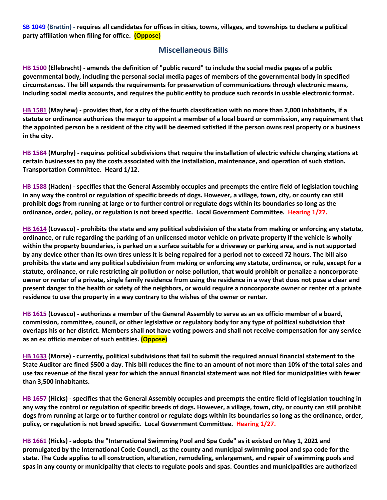**[SB 1049](https://www.senate.mo.gov/22info/BTS_Web/Bill.aspx?SessionType=R&BillID=73129349) (Brattin) - requires all candidates for offices in cities, towns, villages, and townships to declare a political party affiliation when filing for office. (Oppose)**

#### **Miscellaneous Bills**

**[HB 1500](https://house.mo.gov/Bill.aspx?bill=HB1500&year=2022&code=R) (Ellebracht) - amends the definition of "public record" to include the social media pages of a public governmental body, including the personal social media pages of members of the governmental body in specified circumstances. The bill expands the requirements for preservation of communications through electronic means, including social media accounts, and requires the public entity to produce such records in usable electronic format.**

**[HB 1581](https://house.mo.gov/Bill.aspx?bill=HB1581&year=2022&code=R) (Mayhew) - provides that, for a city of the fourth classification with no more than 2,000 inhabitants, if a statute or ordinance authorizes the mayor to appoint a member of a local board or commission, any requirement that the appointed person be a resident of the city will be deemed satisfied if the person owns real property or a business in the city.**

**[HB 1584](https://house.mo.gov/Bill.aspx?bill=HB1584&year=2022&code=R) (Murphy) - requires political subdivisions that require the installation of electric vehicle charging stations at certain businesses to pay the costs associated with the installation, maintenance, and operation of such station. Transportation Committee. Heard 1/12.**

**[HB 1588](https://house.mo.gov/Bill.aspx?bill=HB1588&year=2022&code=R) (Haden) - specifies that the General Assembly occupies and preempts the entire field of legislation touching in any way the control or regulation of specific breeds of dogs. However, a village, town, city, or county can still prohibit dogs from running at large or to further control or regulate dogs within its boundaries so long as the ordinance, order, policy, or regulation is not breed specific. Local Government Committee. Hearing 1/27.**

**[HB 1614](https://house.mo.gov/Bill.aspx?bill=HB1614&year=2022&code=R) (Lovasco) - prohibits the state and any political subdivision of the state from making or enforcing any statute, ordinance, or rule regarding the parking of an unlicensed motor vehicle on private property if the vehicle is wholly within the property boundaries, is parked on a surface suitable for a driveway or parking area, and is not supported by any device other than its own tires unless it is being repaired for a period not to exceed 72 hours. The bill also prohibits the state and any political subdivision from making or enforcing any statute, ordinance, or rule, except for a statute, ordinance, or rule restricting air pollution or noise pollution, that would prohibit or penalize a noncorporate owner or renter of a private, single family residence from using the residence in a way that does not pose a clear and present danger to the health or safety of the neighbors, or would require a noncorporate owner or renter of a private residence to use the property in a way contrary to the wishes of the owner or renter.**

**[HB 1615](https://house.mo.gov/Bill.aspx?bill=HB1615&year=2022&code=R) (Lovasco) - authorizes a member of the General Assembly to serve as an ex officio member of a board, commission, committee, council, or other legislative or regulatory body for any type of political subdivision that overlaps his or her district. Members shall not have voting powers and shall not receive compensation for any service as an ex officio member of such entities. (Oppose)**

**[HB 1633](https://house.mo.gov/Bill.aspx?bill=HB1633&year=2022&code=R) (Morse) - currently, political subdivisions that fail to submit the required annual financial statement to the State Auditor are fined \$500 a day. This bill reduces the fine to an amount of not more than 10% of the total sales and use tax revenue of the fiscal year for which the annual financial statement was not filed for municipalities with fewer than 3,500 inhabitants.**

**[HB 1657](https://house.mo.gov/Bill.aspx?bill=HB1657&year=2022&code=R) (Hicks) - specifies that the General Assembly occupies and preempts the entire field of legislation touching in any way the control or regulation of specific breeds of dogs. However, a village, town, city, or county can still prohibit dogs from running at large or to further control or regulate dogs within its boundaries so long as the ordinance, order, policy, or regulation is not breed specific. Local Government Committee. Hearing 1/27.**

**[HB 1661](https://house.mo.gov/Bill.aspx?bill=HB1661&year=2022&code=R) (Hicks) - adopts the "International Swimming Pool and Spa Code" as it existed on May 1, 2021 and promulgated by the International Code Council, as the county and municipal swimming pool and spa code for the state. The Code applies to all construction, alteration, remodeling, enlargement, and repair of swimming pools and spas in any county or municipality that elects to regulate pools and spas. Counties and municipalities are authorized**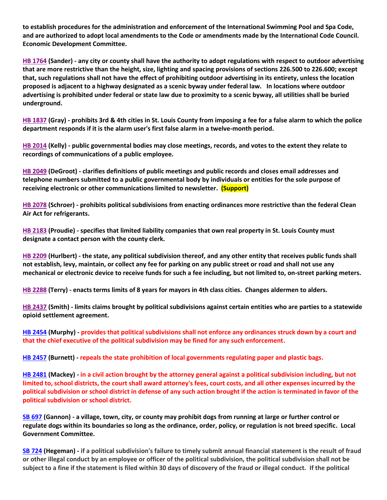**to establish procedures for the administration and enforcement of the International Swimming Pool and Spa Code, and are authorized to adopt local amendments to the Code or amendments made by the International Code Council. Economic Development Committee.**

**[HB 1764](https://house.mo.gov/Bill.aspx?bill=HB1764&year=2022&code=R) (Sander) - any city or county shall have the authority to adopt regulations with respect to outdoor advertising that are more restrictive than the height, size, lighting and spacing provisions of sections 226.500 to 226.600; except that, such regulations shall not have the effect of prohibiting outdoor advertising in its entirety, unless the location proposed is adjacent to a highway designated as a scenic byway under federal law. In locations where outdoor advertising is prohibited under federal or state law due to proximity to a scenic byway, all utilities shall be buried underground.**

**[HB 1837](https://house.mo.gov/Bill.aspx?bill=HB1837&year=2022&code=R) (Gray) - prohibits 3rd & 4th cities in St. Louis County from imposing a fee for a false alarm to which the police department responds if it is the alarm user's first false alarm in a twelve-month period.**

**[HB 2014](https://house.mo.gov/Bill.aspx?bill=HB2014&year=2022&code=R) (Kelly) - public governmental bodies may close meetings, records, and votes to the extent they relate to recordings of communications of a public employee.**

**[HB 2049](https://house.mo.gov/Bill.aspx?bill=HB2049&year=2022&code=R) (DeGroot) - clarifies definitions of public meetings and public records and closes email addresses and telephone numbers submitted to a public governmental body by individuals or entities for the sole purpose of receiving electronic or other communications limited to newsletter. (Support)**

**[HB 2078](https://www.house.mo.gov/Bill.aspx?bill=HB2078&year=2022&code=R) (Schroer) - prohibits political subdivisions from enacting ordinances more restrictive than the federal Clean Air Act for refrigerants.**

**[HB 2183](https://house.mo.gov/Bill.aspx?bill=HB2183&year=2022&code=R) (Proudie) - specifies that limited liability companies that own real property in St. Louis County must designate a contact person with the county clerk.**

**[HB 2209](https://house.mo.gov/Bill.aspx?bill=HB2209&year=2022&code=R) (Hurlbert) - the state, any political subdivision thereof, and any other entity that receives public funds shall not establish, levy, maintain, or collect any fee for parking on any public street or road and shall not use any mechanical or electronic device to receive funds for such a fee including, but not limited to, on-street parking meters.**

**[HB 2288](https://www.house.mo.gov/Bill.aspx?bill=HB2288&year=2022&code=R) (Terry) - enacts terms limits of 8 years for mayors in 4th class cities. Changes aldermen to alders.**

**[HB 2437](https://house.mo.gov/Bill.aspx?bill=HB2437&year=2022&code=R) (Smith) - limits claims brought by political subdivisions against certain entities who are parties to a statewide opioid settlement agreement.**

**[HB 2454](https://house.mo.gov/Bill.aspx?bill=HB2454&year=2022&code=R) (Murphy) - provides that political subdivisions shall not enforce any ordinances struck down by a court and that the chief executive of the political subdivision may be fined for any such enforcement.**

**[HB 2457](https://house.mo.gov/Bill.aspx?bill=HB2457&year=2022&code=R) (Burnett) - repeals the state prohibition of local governments regulating paper and plastic bags.**

**[HB 2481](https://house.mo.gov/Bill.aspx?bill=HB2481&year=2022&code=R) (Mackey) - in a civil action brought by the attorney general against a political subdivision including, but not limited to, school districts, the court shall award attorney's fees, court costs, and all other expenses incurred by the political subdivision or school district in defense of any such action brought if the action is terminated in favor of the political subdivision or school district.**

**[SB 697](https://www.senate.mo.gov/22info/BTS_Web/Bill.aspx?SessionType=R&BillID=71259741) (Gannon) - a village, town, city, or county may prohibit dogs from running at large or further control or regulate dogs within its boundaries so long as the ordinance, order, policy, or regulation is not breed specific. Local Government Committee.**

**[SB 724](https://www.senate.mo.gov/22info/BTS_Web/Bill.aspx?SessionType=R&BillID=71259818) (Hegeman) - if a political subdivision's failure to timely submit annual financial statement is the result of fraud or other illegal conduct by an employee or officer of the political subdivision, the political subdivision shall not be subject to a fine if the statement is filed within 30 days of discovery of the fraud or illegal conduct. If the political**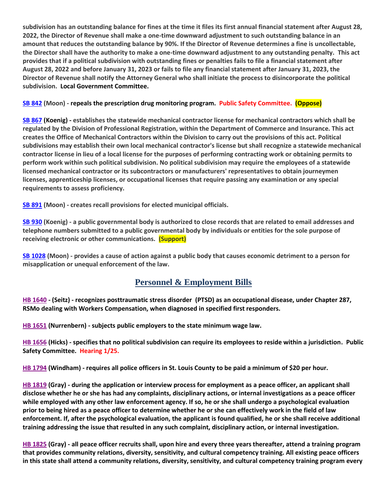**subdivision has an outstanding balance for fines at the time it files its first annual financial statement after August 28, 2022, the Director of Revenue shall make a one-time downward adjustment to such outstanding balance in an amount that reduces the outstanding balance by 90%. If the Director of Revenue determines a fine is uncollectable, the Director shall have the authority to make a one-time downward adjustment to any outstanding penalty. This act provides that if a political subdivision with outstanding fines or penalties fails to file a financial statement after August 28, 2022 and before January 31, 2023 or fails to file any financial statement after January 31, 2023, the Director of Revenue shall notify the Attorney General who shall initiate the process to disincorporate the political subdivision. Local Government Committee.**

#### **[SB 842](https://www.senate.mo.gov/22info/BTS_Web/Bill.aspx?SessionType=R&BillID=71259877) (Moon) - repeals the prescription drug monitoring program. Public Safety Committee. (Oppose)**

**[SB 867](https://www.senate.mo.gov/22info/BTS_Web/Bill.aspx?SessionType=R&BillID=71259909) (Koenig) - establishes the statewide mechanical contractor license for mechanical contractors which shall be regulated by the Division of Professional Registration, within the Department of Commerce and Insurance. This act creates the Office of Mechanical Contractors within the Division to carry out the provisions of this act. Political subdivisions may establish their own local mechanical contractor's license but shall recognize a statewide mechanical contractor license in lieu of a local license for the purposes of performing contracting work or obtaining permits to perform work within such political subdivision. No political subdivision may require the employees of a statewide licensed mechanical contractor or its subcontractors or manufacturers' representatives to obtain journeymen licenses, apprenticeship licenses, or occupational licenses that require passing any examination or any special requirements to assess proficiency.**

**[SB 891](https://www.senate.mo.gov/22info/BTS_Web/Bill.aspx?SessionType=R&BillID=71259885) (Moon) - creates recall provisions for elected municipal officials.**

**[SB 930](https://www.senate.mo.gov/22info/BTS_Web/Bill.aspx?SessionType=R&BillID=71259916) (Koenig) - a public governmental body is authorized to close records that are related to email addresses and telephone numbers submitted to a public governmental body by individuals or entities for the sole purpose of receiving electronic or other communications. (Support)**

**[SB 1028](https://www.senate.mo.gov/22info/BTS_Web/Bill.aspx?SessionType=R&BillID=72748795) (Moon) - provides a cause of action against a public body that causes economic detriment to a person for misapplication or unequal enforcement of the law.** 

# **Personnel & Employment Bills**

**[HB 1640](https://house.mo.gov/Bill.aspx?bill=HB1640&year=2022&code=R) - (Seitz) - recognizes posttraumatic stress disorder (PTSD) as an occupational disease, under Chapter 287, RSMo dealing with Workers Compensation, when diagnosed in specified first responders.**

**[HB 1651](https://house.mo.gov/Bill.aspx?bill=HB1651&year=2022&code=R) (Nurrenbern) - subjects public employers to the state minimum wage law.**

**[HB 1656](https://house.mo.gov/Bill.aspx?bill=HB1656&year=2022&code=R) (Hicks) - specifies that no political subdivision can require its employees to reside within a jurisdiction. Public Safety Committee. Hearing 1/25.**

**[HB 1794](https://house.mo.gov/Bill.aspx?bill=HB1794&year=2022&code=R) (Windham) - requires all police officers in St. Louis County to be paid a minimum of \$20 per hour.**

**[HB 1819](https://house.mo.gov/Bill.aspx?bill=HB1819&year=2022&code=R) (Gray) - during the application or interview process for employment as a peace officer, an applicant shall disclose whether he or she has had any complaints, disciplinary actions, or internal investigations as a peace officer while employed with any other law enforcement agency. If so, he or she shall undergo a psychological evaluation prior to being hired as a peace officer to determine whether he or she can effectively work in the field of law enforcement. If, after the psychological evaluation, the applicant is found qualified, he or she shall receive additional training addressing the issue that resulted in any such complaint, disciplinary action, or internal investigation.**

**[HB 1825](https://house.mo.gov/Bill.aspx?bill=HB1825&year=2022&code=R) (Gray) - all peace officer recruits shall, upon hire and every three years thereafter, attend a training program that provides community relations, diversity, sensitivity, and cultural competency training. All existing peace officers in this state shall attend a community relations, diversity, sensitivity, and cultural competency training program every**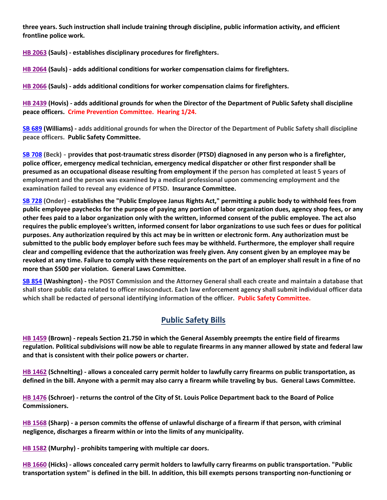**three years. Such instruction shall include training through discipline, public information activity, and efficient frontline police work.**

**[HB 2063](https://house.mo.gov/Bill.aspx?bill=HB2063&year=2022&code=R) (Sauls) - establishes disciplinary procedures for firefighters.**

**[HB 2064](https://house.mo.gov/Bill.aspx?bill=HB2064&year=2022&code=R) (Sauls) - adds additional conditions for worker compensation claims for firefighters.** 

**[HB 2066](https://house.mo.gov/Bill.aspx?bill=HB2066&year=2022&code=R) (Sauls) - adds additional conditions for worker compensation claims for firefighters.**

**[HB 2439](https://house.mo.gov/Bill.aspx?bill=HB2439&year=2022&code=R) (Hovis) - adds additional grounds for when the Director of the Department of Public Safety shall discipline peace officers. Crime Prevention Committee. Hearing 1/24.**

**[SB 689](https://www.senate.mo.gov/22info/BTS_Web/Bill.aspx?SessionType=R&BillID=71259715) (Williams) - adds additional grounds for when the Director of the Department of Public Safety shall discipline peace officers. Public Safety Committee.**

**[SB 708](https://www.senate.mo.gov/22info/BTS_Web/Bill.aspx?SessionType=R&BillID=71259735) (Beck) - provides that post-traumatic stress disorder (PTSD) diagnosed in any person who is a firefighter, police officer, emergency medical technician, emergency medical dispatcher or other first responder shall be presumed as an occupational disease resulting from employment if the person has completed at least 5 years of employment and the person was examined by a medical professional upon commencing employment and the examination failed to reveal any evidence of PTSD. Insurance Committee.**

**[SB 728](https://www.senate.mo.gov/22info/BTS_Web/Bill.aspx?SessionType=R&BillID=71259712) (Onder) - establishes the "Public Employee Janus Rights Act," permitting a public body to withhold fees from public employee paychecks for the purpose of paying any portion of labor organization dues, agency shop fees, or any other fees paid to a labor organization only with the written, informed consent of the public employee. The act also requires the public employee's written, informed consent for labor organizations to use such fees or dues for political purposes. Any authorization required by this act may be in written or electronic form. Any authorization must be submitted to the public body employer before such fees may be withheld. Furthermore, the employer shall require clear and compelling evidence that the authorization was freely given. Any consent given by an employee may be revoked at any time. Failure to comply with these requirements on the part of an employer shall result in a fine of no more than \$500 per violation. General Laws Committee.**

**[SB 854](https://www.senate.mo.gov/22info/BTS_Web/Bill.aspx?SessionType=R&BillID=71259653) (Washington) - the POST Commission and the Attorney General shall each create and maintain a database that shall store public data related to officer misconduct. Each law enforcement agency shall submit individual officer data which shall be redacted of personal identifying information of the officer. Public Safety Committee.**

#### **Public Safety Bills**

**[HB 1459](https://house.mo.gov/Bill.aspx?bill=HB1459&year=2022&code=R) (Brown) - repeals Section 21.750 in which the General Assembly preempts the entire field of firearms regulation. Political subdivisions will now be able to regulate firearms in any manner allowed by state and federal law and that is consistent with their police powers or charter.**

**[HB 1462](https://house.mo.gov/Bill.aspx?bill=HB1462&year=2022&code=R) (Schnelting) - allows a concealed carry permit holder to lawfully carry firearms on public transportation, as defined in the bill. Anyone with a permit may also carry a firearm while traveling by bus. General Laws Committee.**

**[HB 1476](https://house.mo.gov/Bill.aspx?bill=HB1476&year=2022&code=R) (Schroer) - returns the control of the City of St. Louis Police Department back to the Board of Police Commissioners.**

**[HB 1568](https://house.mo.gov/Bill.aspx?bill=HB1568&year=2022&code=R) (Sharp) - a person commits the offense of unlawful discharge of a firearm if that person, with criminal negligence, discharges a firearm within or into the limits of any municipality.**

**[HB 1582](https://house.mo.gov/Bill.aspx?bill=HB1582&year=2022&code=R) (Murphy) - prohibits tampering with multiple car doors.**

**[HB 1660](https://house.mo.gov/Bill.aspx?bill=HB1660&year=2022&code=R) (Hicks) - allows concealed carry permit holders to lawfully carry firearms on public transportation. "Public transportation system" is defined in the bill. In addition, this bill exempts persons transporting non-functioning or**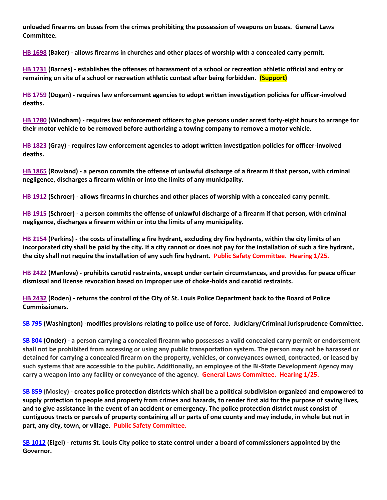**unloaded firearms on buses from the crimes prohibiting the possession of weapons on buses. General Laws Committee.**

**[HB 1698](https://house.mo.gov/Bill.aspx?bill=HB1698&year=2022&code=R) (Baker) - allows firearms in churches and other places of worship with a concealed carry permit.**

**[HB 1731](https://house.mo.gov/Bill.aspx?bill=HB1731&year=2022&code=R) (Barnes) - establishes the offenses of harassment of a school or recreation athletic official and entry or remaining on site of a school or recreation athletic contest after being forbidden. (Support)**

**[HB 1759](https://house.mo.gov/Bill.aspx?bill=HB1759&year=2022&code=R) (Dogan) - requires law enforcement agencies to adopt written investigation policies for officer-involved deaths.**

**[HB 1780](https://house.mo.gov/Bill.aspx?bill=HB1780&year=2022&code=R) (Windham) - requires law enforcement officers to give persons under arrest forty-eight hours to arrange for their motor vehicle to be removed before authorizing a towing company to remove a motor vehicle.**

**[HB 1823](https://house.mo.gov/Bill.aspx?bill=HB1823&year=2022&code=R) (Gray) - requires law enforcement agencies to adopt written investigation policies for officer-involved deaths.**

**[HB 1865](https://house.mo.gov/Bill.aspx?bill=HB1865&year=2022&code=R) (Rowland) - a person commits the offense of unlawful discharge of a firearm if that person, with criminal negligence, discharges a firearm within or into the limits of any municipality.**

**[HB 1912](https://house.mo.gov/Bill.aspx?bill=HB1912&year=2022&code=R) (Schroer) - allows firearms in churches and other places of worship with a concealed carry permit.**

**[HB 1915](https://house.mo.gov/Bill.aspx?bill=HB1915&year=2022&code=R) (Schroer) - a person commits the offense of unlawful discharge of a firearm if that person, with criminal negligence, discharges a firearm within or into the limits of any municipality.**

**[HB 2154](https://house.mo.gov/Bill.aspx?bill=HB2154&year=2022&code=R) (Perkins) - the costs of installing a fire hydrant, excluding dry fire hydrants, within the city limits of an incorporated city shall be paid by the city. If a city cannot or does not pay for the installation of such a fire hydrant, the city shall not require the installation of any such fire hydrant. Public Safety Committee. Hearing 1/25.**

**[HB 2422](https://house.mo.gov/Bill.aspx?bill=HB2422&year=2022&code=R) (Manlove) - prohibits carotid restraints, except under certain circumstances, and provides for peace officer dismissal and license revocation based on improper use of choke-holds and carotid restraints.**

**[HB 2432](https://house.mo.gov/Bill.aspx?bill=HB2432&year=2022&code=R) (Roden) - returns the control of the City of St. Louis Police Department back to the Board of Police Commissioners.**

**[SB 795](https://www.senate.mo.gov/22info/BTS_Web/Bill.aspx?SessionType=R&BillID=71259650) (Washington) -modifies provisions relating to police use of force. Judiciary/Criminal Jurisprudence Committee.**

**[SB 804](https://www.senate.mo.gov/22info/BTS_Web/Bill.aspx?SessionType=R&BillID=71263286) (Onder) - a person carrying a concealed firearm who possesses a valid concealed carry permit or endorsement shall not be prohibited from accessing or using any public transportation system. The person may not be harassed or detained for carrying a concealed firearm on the property, vehicles, or conveyances owned, contracted, or leased by such systems that are accessible to the public. Additionally, an employee of the Bi-State Development Agency may carry a weapon into any facility or conveyance of the agency. General Laws Committee. Hearing 1/25.**

**[SB 859](https://www.senate.mo.gov/22info/BTS_Web/Bill.aspx?SessionType=R&BillID=71259622) (Mosley) - creates police protection districts which shall be a political subdivision organized and empowered to supply protection to people and property from crimes and hazards, to render first aid for the purpose of saving lives, and to give assistance in the event of an accident or emergency. The police protection district must consist of contiguous tracts or parcels of property containing all or parts of one county and may include, in whole but not in part, any city, town, or village. Public Safety Committee.**

**[SB 1012](https://www.senate.mo.gov/22info/BTS_Web/Bill.aspx?SessionType=R&BillID=72392417) (Eigel) - returns St. Louis City police to state control under a board of commissioners appointed by the Governor.**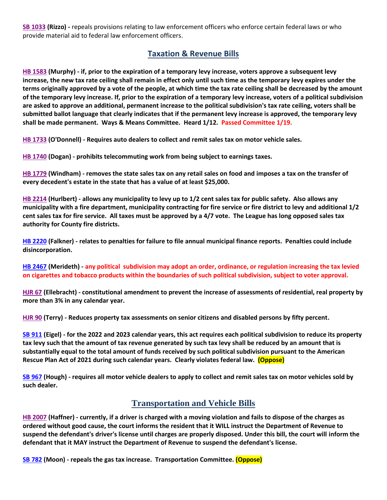**[SB 1033](https://www.senate.mo.gov/22info/BTS_Web/Bill.aspx?SessionType=R&BillID=72748800) (Rizzo) -** repeals provisions relating to law enforcement officers who enforce certain federal laws or who provide material aid to federal law enforcement officers.

## **Taxation & Revenue Bills**

**[HB 1583](https://house.mo.gov/Bill.aspx?bill=HB1583&year=2022&code=R) (Murphy) - if, prior to the expiration of a temporary levy increase, voters approve a subsequent levy increase, the new tax rate ceiling shall remain in effect only until such time as the temporary levy expires under the terms originally approved by a vote of the people, at which time the tax rate ceiling shall be decreased by the amount of the temporary levy increase. If, prior to the expiration of a temporary levy increase, voters of a political subdivision are asked to approve an additional, permanent increase to the political subdivision's tax rate ceiling, voters shall be submitted ballot language that clearly indicates that if the permanent levy increase is approved, the temporary levy shall be made permanent. Ways & Means Committee. Heard 1/12. Passed Committee 1/19.**

**[HB 1733](https://house.mo.gov/Bill.aspx?bill=HB1733&year=2022&code=R) (O'Donnell) - Requires auto dealers to collect and remit sales tax on motor vehicle sales.**

**[HB 1740](https://house.mo.gov/Bill.aspx?bill=HB1740&year=2022&code=R) (Dogan) - prohibits telecommuting work from being subject to earnings taxes.**

**[HB 1779](https://house.mo.gov/Bill.aspx?bill=HB1779&year=2022&code=R) (Windham) - removes the state sales tax on any retail sales on food and imposes a tax on the transfer of every decedent's estate in the state that has a value of at least \$25,000.**

**[HB 2214](https://house.mo.gov/Bill.aspx?bill=HB2214&year=2022&code=R) (Hurlbert) - allows any municipality to levy up to 1/2 cent sales tax for public safety. Also allows any municipality with a fire department, municipality contracting for fire service or fire district to levy and additional 1/2 cent sales tax for fire service. All taxes must be approved by a 4/7 vote. The League has long opposed sales tax authority for County fire districts.**

**[HB 2220](https://house.mo.gov/Bill.aspx?bill=HB2220&year=2022&code=R) (Falkner) - relates to penalties for failure to file annual municipal finance reports. Penalties could include disincorporation.**

**[HB 2467](https://house.mo.gov/Bill.aspx?bill=HB2467&year=2022&code=R) (Merideth) - any political subdivision may adopt an order, ordinance, or regulation increasing the tax levied on cigarettes and tobacco products within the boundaries of such political subdivision, subject to voter approval.**

**[HJR 67](https://house.mo.gov/Bill.aspx?bill=HJR67&year=2022&code=R) (Ellebracht) - constitutional amendment to prevent the increase of assessments of residential, real property by more than 3% in any calendar year.**

**[HJR 90](https://house.mo.gov/Bill.aspx?bill=HJR90&year=2022&code=R) (Terry) - Reduces property tax assessments on senior citizens and disabled persons by fifty percent.**

**[SB 911](https://www.senate.mo.gov/22info/BTS_Web/Bill.aspx?SessionType=R&BillID=71259794) (Eigel) - for the 2022 and 2023 calendar years, this act requires each political subdivision to reduce its property tax levy such that the amount of tax revenue generated by such tax levy shall be reduced by an amount that is substantially equal to the total amount of funds received by such political subdivision pursuant to the American Rescue Plan Act of 2021 during such calendar years. Clearly violates federal law. (Oppose)**

**[SB 967](https://www.senate.mo.gov/22info/BTS_Web/Bill.aspx?SessionType=R&BillID=71406282) (Hough) - requires all motor vehicle dealers to apply to collect and remit sales tax on motor vehicles sold by such dealer.**

# **Transportation and Vehicle Bills**

**[HB 2007](https://house.mo.gov/Bill.aspx?bill=HB2007&year=2022&code=R) (Haffner) - currently, if a driver is charged with a moving violation and fails to dispose of the charges as ordered without good cause, the court informs the resident that it WILL instruct the Department of Revenue to suspend the defendant's driver's license until charges are properly disposed. Under this bill, the court will inform the defendant that it MAY instruct the Department of Revenue to suspend the defendant's license.**

**[SB 782](https://www.senate.mo.gov/22info/BTS_Web/Bill.aspx?SessionType=R&BillID=71259873) (Moon) - repeals the gas tax increase. Transportation Committee. (Oppose)**